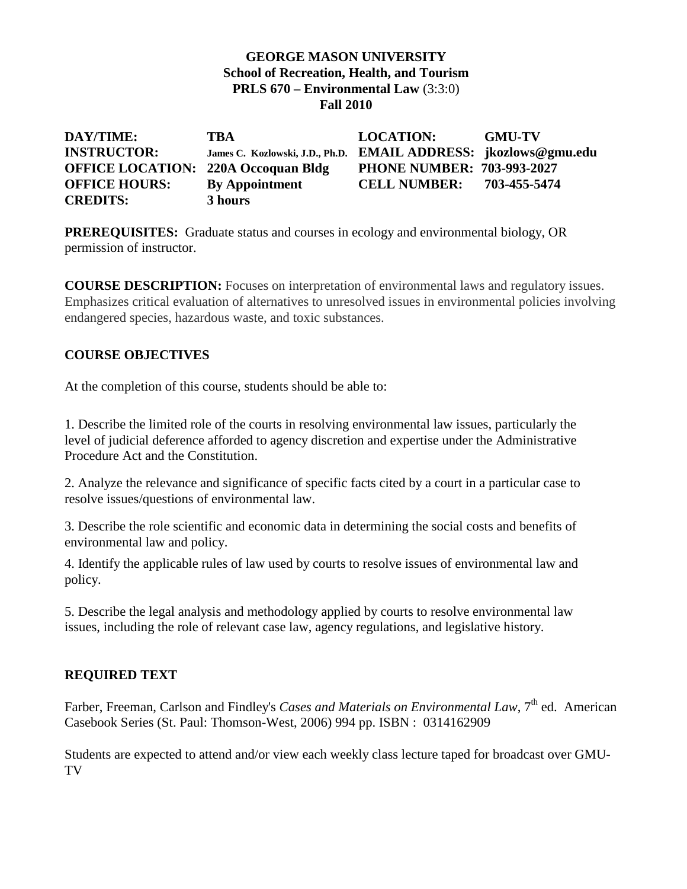### **GEORGE MASON UNIVERSITY School of Recreation, Health, and Tourism PRLS 670 – Environmental Law** (3:3:0) **Fall 2010**

| DAY/TIME:                                  | TBA                                                             | <b>LOCATION:</b>                  | <b>GMU-TV</b> |
|--------------------------------------------|-----------------------------------------------------------------|-----------------------------------|---------------|
| <b>INSTRUCTOR:</b>                         | James C. Kozlowski, J.D., Ph.D. EMAIL ADDRESS: jkozlows@gmu.edu |                                   |               |
| <b>OFFICE LOCATION: 220A Occoquan Bldg</b> |                                                                 | <b>PHONE NUMBER: 703-993-2027</b> |               |
| <b>OFFICE HOURS:</b>                       | <b>By Appointment</b>                                           | <b>CELL NUMBER:</b>               | 703-455-5474  |
| <b>CREDITS:</b>                            | 3 hours                                                         |                                   |               |

**PREREQUISITES:** Graduate status and courses in ecology and environmental biology, OR permission of instructor.

**COURSE DESCRIPTION:** Focuses on interpretation of environmental laws and regulatory issues. Emphasizes critical evaluation of alternatives to unresolved issues in environmental policies involving endangered species, hazardous waste, and toxic substances.

## **COURSE OBJECTIVES**

At the completion of this course, students should be able to:

1. Describe the limited role of the courts in resolving environmental law issues, particularly the level of judicial deference afforded to agency discretion and expertise under the Administrative Procedure Act and the Constitution.

2. Analyze the relevance and significance of specific facts cited by a court in a particular case to resolve issues/questions of environmental law.

3. Describe the role scientific and economic data in determining the social costs and benefits of environmental law and policy.

4. Identify the applicable rules of law used by courts to resolve issues of environmental law and policy.

5. Describe the legal analysis and methodology applied by courts to resolve environmental law issues, including the role of relevant case law, agency regulations, and legislative history.

### **REQUIRED TEXT**

Farber, Freeman, Carlson and Findley's *Cases and Materials on Environmental Law*, 7<sup>th</sup> ed. American Casebook Series (St. Paul: Thomson-West, 2006) 994 pp. ISBN : 0314162909

Students are expected to attend and/or view each weekly class lecture taped for broadcast over GMU-TV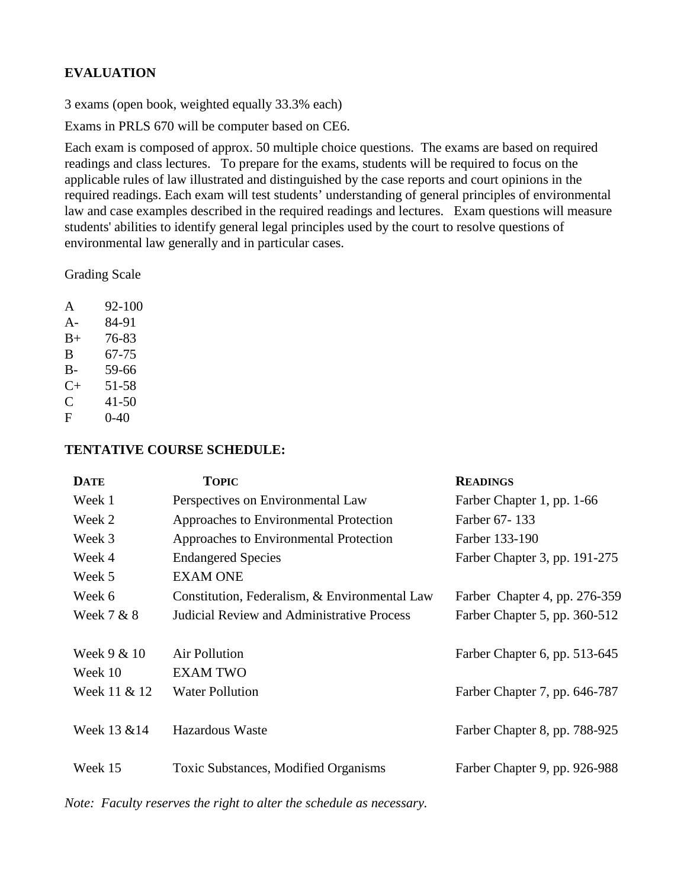# **EVALUATION**

3 exams (open book, weighted equally 33.3% each)

Exams in PRLS 670 will be computer based on CE6.

Each exam is composed of approx. 50 multiple choice questions. The exams are based on required readings and class lectures. To prepare for the exams, students will be required to focus on the applicable rules of law illustrated and distinguished by the case reports and court opinions in the required readings. Each exam will test students' understanding of general principles of environmental law and case examples described in the required readings and lectures. Exam questions will measure students' abilities to identify general legal principles used by the court to resolve questions of environmental law generally and in particular cases.

Grading Scale

| A         | 92-100    |
|-----------|-----------|
| A-        | 84-91     |
| $B+$      | 76-83     |
| B         | 67-75     |
| $B -$     | 59-66     |
| $C_{\pm}$ | 51-58     |
| C         | $41 - 50$ |
| F         | $0-40$    |

#### **TENTATIVE COURSE SCHEDULE:**

| <b>DATE</b>  | <b>TOPIC</b>                                      | <b>READINGS</b>               |
|--------------|---------------------------------------------------|-------------------------------|
| Week 1       | Perspectives on Environmental Law                 | Farber Chapter 1, pp. 1-66    |
| Week 2       | Approaches to Environmental Protection            | Farber 67-133                 |
| Week 3       | Approaches to Environmental Protection            | Farber 133-190                |
| Week 4       | <b>Endangered Species</b>                         | Farber Chapter 3, pp. 191-275 |
| Week 5       | <b>EXAM ONE</b>                                   |                               |
| Week 6       | Constitution, Federalism, & Environmental Law     | Farber Chapter 4, pp. 276-359 |
| Week 7 & 8   | <b>Judicial Review and Administrative Process</b> | Farber Chapter 5, pp. 360-512 |
|              |                                                   |                               |
| Week 9 & 10  | Air Pollution                                     | Farber Chapter 6, pp. 513-645 |
| Week 10      | <b>EXAM TWO</b>                                   |                               |
| Week 11 & 12 | <b>Water Pollution</b>                            | Farber Chapter 7, pp. 646-787 |
|              |                                                   |                               |
| Week 13 & 14 | Hazardous Waste                                   | Farber Chapter 8, pp. 788-925 |
|              |                                                   |                               |
| Week 15      | Toxic Substances, Modified Organisms              | Farber Chapter 9, pp. 926-988 |
|              |                                                   |                               |

*Note: Faculty reserves the right to alter the schedule as necessary.*